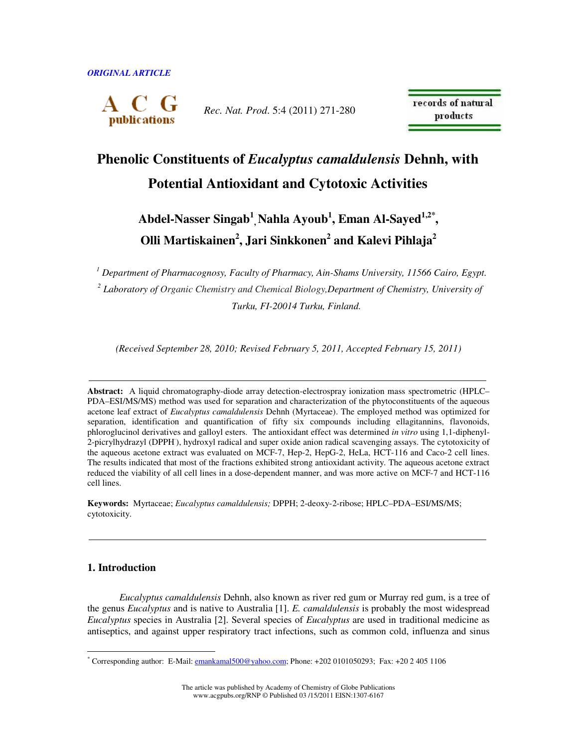

*Rec. Nat. Prod*. 5:4 (2011) 271-280

records of natural products

# **Phenolic Constituents of** *Eucalyptus camaldulensis* **Dehnh, with Potential Antioxidant and Cytotoxic Activities**

# **Abdel-Nasser Singab<sup>1</sup> , Nahla Ayoub<sup>1</sup> , Eman Al-Sayed1,2\* , Olli Martiskainen<sup>2</sup> , Jari Sinkkonen<sup>2</sup> and Kalevi Pihlaja<sup>2</sup>**

*<sup>1</sup> Department of Pharmacognosy, Faculty of Pharmacy, Ain-Shams University, 11566 Cairo, Egypt.*  <sup>2</sup> Laboratory of Organic Chemistry and Chemical Biology,Department of Chemistry, University of *Turku, FI-20014 Turku, Finland.* 

*(Received September 28, 2010; Revised February 5, 2011, Accepted February 15, 2011)* 

**Abstract:** A liquid chromatography-diode array detection-electrospray ionization mass spectrometric (HPLC– PDA–ESI/MS/MS) method was used for separation and characterization of the phytoconstituents of the aqueous acetone leaf extract of *Eucalyptus camaldulensis* Dehnh (Myrtaceae). The employed method was optimized for separation, identification and quantification of fifty six compounds including ellagitannins, flavonoids, phloroglucinol derivatives and galloyl esters. The antioxidant effect was determined *in vitro* using 1,1-diphenyl-2-picrylhydrazyl (DPPH· ), hydroxyl radical and super oxide anion radical scavenging assays. The cytotoxicity of the aqueous acetone extract was evaluated on MCF-7, Hep-2, HepG-2, HeLa, HCT-116 and Caco-2 cell lines. The results indicated that most of the fractions exhibited strong antioxidant activity. The aqueous acetone extract reduced the viability of all cell lines in a dose-dependent manner, and was more active on MCF-7 and HCT-116 cell lines.

**Keywords:** Myrtaceae; *Eucalyptus camaldulensis;* DPPH; 2-deoxy-2-ribose; HPLC–PDA–ESI/MS/MS; cytotoxicity.

## **1. Introduction**

*Eucalyptus camaldulensis* Dehnh, also known as river red gum or Murray red gum, is a tree of the genus *Eucalyptus* and is native to Australia [1]. *E. camaldulensis* is probably the most widespread *Eucalyptus* species in Australia [2]. Several species of *Eucalyptus* are used in traditional medicine as antiseptics, and against upper respiratory tract infections, such as common cold, influenza and sinus

<sup>\*&</sup>lt;br>Corresponding author: E-Mail: <u>emankamal500@yahoo.com</u>; Phone: +202 0101050293; Fax: +20 2 405 1106

The article was published by Academy of Chemistry of Globe Publications www.acgpubs.org/RNP © Published 03 /15/2011 EISN:1307-6167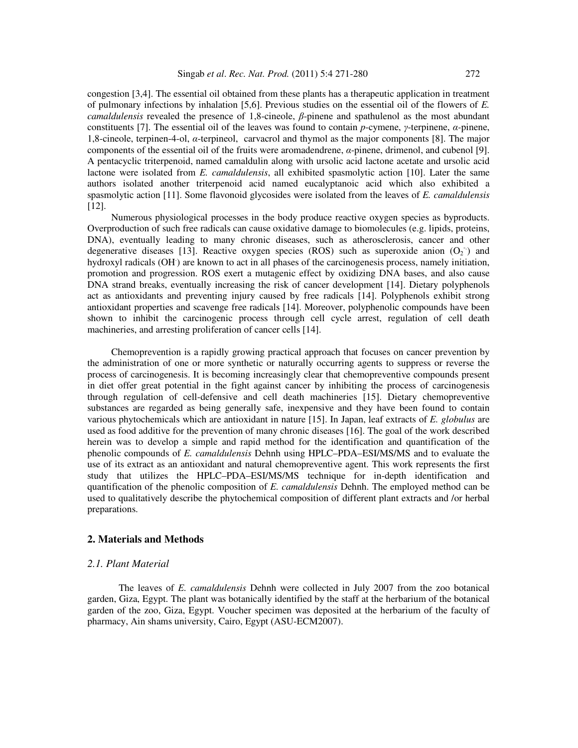congestion [3,4]. The essential oil obtained from these plants has a therapeutic application in treatment of pulmonary infections by inhalation [5,6]. Previous studies on the essential oil of the flowers of *E. camaldulensis* revealed the presence of 1,8-cineole, β-pinene and spathulenol as the most abundant constituents [7]. The essential oil of the leaves was found to contain *p*-cymene, γ-terpinene, α*-*pinene, 1,8-cineole, terpinen-4-ol, α-terpineol, carvacrol and thymol as the major components [8]. The major components of the essential oil of the fruits were aromadendrene,  $\alpha$ -pinene, drimenol, and cubenol [9]. A pentacyclic triterpenoid, named camaldulin along with ursolic acid lactone acetate and ursolic acid lactone were isolated from *E. camaldulensis*, all exhibited spasmolytic action [10]. Later the same authors isolated another triterpenoid acid named eucalyptanoic acid which also exhibited a spasmolytic action [11]. Some flavonoid glycosides were isolated from the leaves of *E. camaldulensis*  [12].

Numerous physiological processes in the body produce reactive oxygen species as byproducts. Overproduction of such free radicals can cause oxidative damage to biomolecules (e.g. lipids, proteins, DNA), eventually leading to many chronic diseases, such as atherosclerosis, cancer and other degenerative diseases [13]. Reactive oxygen species (ROS) such as superoxide anion  $(O_2)$  and hydroxyl radicals (OH) are known to act in all phases of the carcinogenesis process, namely initiation, promotion and progression. ROS exert a mutagenic effect by oxidizing DNA bases, and also cause DNA strand breaks, eventually increasing the risk of cancer development [14]. Dietary polyphenols act as antioxidants and preventing injury caused by free radicals [14]. Polyphenols exhibit strong antioxidant properties and scavenge free radicals [14]. Moreover, polyphenolic compounds have been shown to inhibit the carcinogenic process through cell cycle arrest, regulation of cell death machineries, and arresting proliferation of cancer cells [14].

Chemoprevention is a rapidly growing practical approach that focuses on cancer prevention by the administration of one or more synthetic or naturally occurring agents to suppress or reverse the process of carcinogenesis. It is becoming increasingly clear that chemopreventive compounds present in diet offer great potential in the fight against cancer by inhibiting the process of carcinogenesis through regulation of cell-defensive and cell death machineries [15]. Dietary chemopreventive substances are regarded as being generally safe, inexpensive and they have been found to contain various phytochemicals which are antioxidant in nature [15]. In Japan, leaf extracts of *E. globulus* are used as food additive for the prevention of many chronic diseases [16]. The goal of the work described herein was to develop a simple and rapid method for the identification and quantification of the phenolic compounds of *E. camaldulensis* Dehnh using HPLC–PDA–ESI/MS/MS and to evaluate the use of its extract as an antioxidant and natural chemopreventive agent. This work represents the first study that utilizes the HPLC–PDA–ESI/MS/MS technique for in-depth identification and quantification of the phenolic composition of *E. camaldulensis* Dehnh. The employed method can be used to qualitatively describe the phytochemical composition of different plant extracts and /or herbal preparations.

### **2. Materials and Methods**

### *2.1. Plant Material*

The leaves of *E. camaldulensis* Dehnh were collected in July 2007 from the zoo botanical garden, Giza, Egypt. The plant was botanically identified by the staff at the herbarium of the botanical garden of the zoo, Giza, Egypt. Voucher specimen was deposited at the herbarium of the faculty of pharmacy, Ain shams university, Cairo, Egypt (ASU-ECM2007).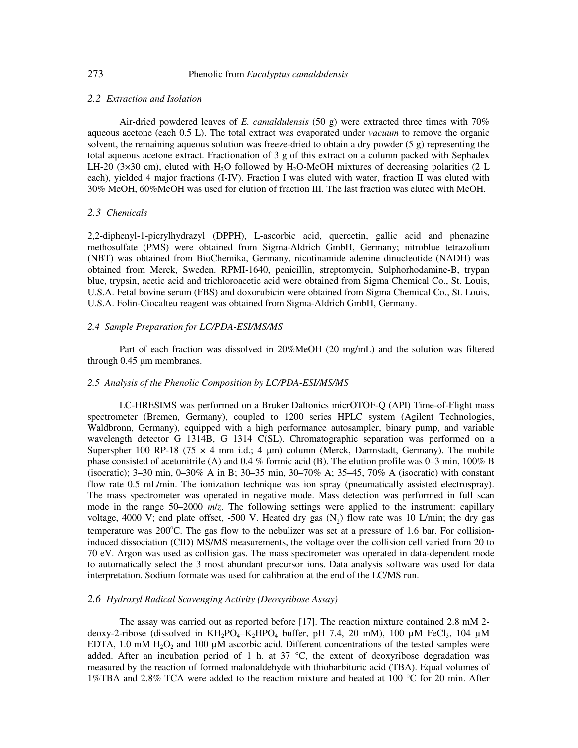### *2.2 Extraction and Isolation*

Air-dried powdered leaves of *E. camaldulensis* (50 g) were extracted three times with 70% aqueous acetone (each 0.5 L). The total extract was evaporated under *vacuum* to remove the organic solvent, the remaining aqueous solution was freeze-dried to obtain a dry powder (5 g) representing the total aqueous acetone extract. Fractionation of 3 g of this extract on a column packed with Sephadex LH-20 (3×30 cm), eluted with H<sub>2</sub>O followed by H<sub>2</sub>O-MeOH mixtures of decreasing polarities (2 L each), yielded 4 major fractions (I-IV). Fraction I was eluted with water, fraction II was eluted with 30% MeOH, 60%MeOH was used for elution of fraction III. The last fraction was eluted with MeOH.

### *2.3 Chemicals*

2,2-diphenyl-1-picrylhydrazyl (DPPH), L-ascorbic acid, quercetin, gallic acid and phenazine methosulfate (PMS) were obtained from Sigma-Aldrich GmbH, Germany; nitroblue tetrazolium (NBT) was obtained from BioChemika, Germany, nicotinamide adenine dinucleotide (NADH) was obtained from Merck, Sweden. RPMI-1640, penicillin, streptomycin, Sulphorhodamine-B, trypan blue, trypsin, acetic acid and trichloroacetic acid were obtained from Sigma Chemical Co., St. Louis, U.S.A. Fetal bovine serum (FBS) and doxorubicin were obtained from Sigma Chemical Co., St. Louis, U.S.A. Folin-Ciocalteu reagent was obtained from Sigma-Aldrich GmbH, Germany.

### *2.4 Sample Preparation for LC/PDA-ESI/MS/MS*

Part of each fraction was dissolved in 20%MeOH (20 mg/mL) and the solution was filtered through 0.45  $\mu$ m membranes.

### *2.5 Analysis of the Phenolic Composition by LC/PDA-ESI/MS/MS*

LC-HRESIMS was performed on a Bruker Daltonics micrOTOF-Q (API) Time-of-Flight mass spectrometer (Bremen, Germany), coupled to 1200 series HPLC system (Agilent Technologies, Waldbronn, Germany), equipped with a high performance autosampler, binary pump, and variable wavelength detector G 1314B, G 1314 C(SL). Chromatographic separation was performed on a Superspher 100 RP-18 (75  $\times$  4 mm i.d.; 4 µm) column (Merck, Darmstadt, Germany). The mobile phase consisted of acetonitrile (A) and 0.4 % formic acid (B). The elution profile was 0–3 min, 100% B (isocratic); 3–30 min, 0–30% A in B; 30–35 min, 30–70% A; 35–45, 70% A (isocratic) with constant flow rate 0.5 mL/min. The ionization technique was ion spray (pneumatically assisted electrospray). The mass spectrometer was operated in negative mode. Mass detection was performed in full scan mode in the range 50–2000  $m/z$ . The following settings were applied to the instrument: capillary voltage, 4000 V; end plate offset, -500 V. Heated dry gas  $(N_2)$  flow rate was 10 L/min; the dry gas temperature was  $200^{\circ}$ C. The gas flow to the nebulizer was set at a pressure of 1.6 bar. For collisioninduced dissociation (CID) MS/MS measurements, the voltage over the collision cell varied from 20 to 70 eV. Argon was used as collision gas. The mass spectrometer was operated in data-dependent mode to automatically select the 3 most abundant precursor ions. Data analysis software was used for data interpretation. Sodium formate was used for calibration at the end of the LC/MS run.

### *2.6 Hydroxyl Radical Scavenging Activity (Deoxyribose Assay)*

The assay was carried out as reported before [17]. The reaction mixture contained 2.8 mM 2 deoxy-2-ribose (dissolved in KH<sub>2</sub>PO<sub>4</sub>–K<sub>2</sub>HPO<sub>4</sub> buffer, pH 7.4, 20 mM), 100  $\mu$ M FeCl<sub>3</sub>, 104  $\mu$ M EDTA, 1.0 mM  $H_2O_2$  and 100 µM ascorbic acid. Different concentrations of the tested samples were added. After an incubation period of 1 h. at 37 °C, the extent of deoxyribose degradation was measured by the reaction of formed malonaldehyde with thiobarbituric acid (TBA). Equal volumes of 1%TBA and 2.8% TCA were added to the reaction mixture and heated at 100  $^{\circ}$ C for 20 min. After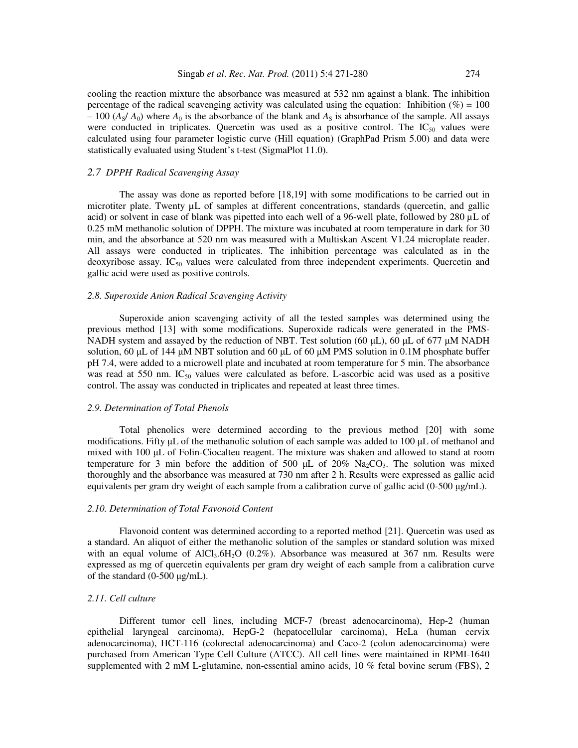cooling the reaction mixture the absorbance was measured at 532 nm against a blank. The inhibition percentage of the radical scavenging activity was calculated using the equation: Inhibition  $(\%)=100$  $-100$  (*A<sub>S</sub>/ A<sub>0</sub>*) where *A<sub>0</sub>* is the absorbance of the blank and *A<sub>S</sub>* is absorbance of the sample. All assays were conducted in triplicates. Quercetin was used as a positive control. The  $IC_{50}$  values were calculated using four parameter logistic curve (Hill equation) (GraphPad Prism 5.00) and data were statistically evaluated using Student's t-test (SigmaPlot 11.0).

## *2.7 DPPH· Radical Scavenging Assay*

The assay was done as reported before [18,19] with some modifications to be carried out in microtiter plate. Twenty µL of samples at different concentrations, standards (quercetin, and gallic acid) or solvent in case of blank was pipetted into each well of a 96-well plate, followed by 280 µL of 0.25 mM methanolic solution of DPPH. The mixture was incubated at room temperature in dark for 30 min, and the absorbance at 520 nm was measured with a Multiskan Ascent V1.24 microplate reader. All assays were conducted in triplicates. The inhibition percentage was calculated as in the deoxyribose assay. IC<sub>50</sub> values were calculated from three independent experiments. Quercetin and gallic acid were used as positive controls.

### *2.8. Superoxide Anion Radical Scavenging Activity*

Superoxide anion scavenging activity of all the tested samples was determined using the previous method [13] with some modifications. Superoxide radicals were generated in the PMS-NADH system and assayed by the reduction of NBT. Test solution (60 µL), 60 µL of 677 µM NADH solution, 60  $\mu$ L of 144  $\mu$ M NBT solution and 60  $\mu$ L of 60  $\mu$ M PMS solution in 0.1M phosphate buffer pH 7.4, were added to a microwell plate and incubated at room temperature for 5 min. The absorbance was read at 550 nm. IC<sub>50</sub> values were calculated as before. L-ascorbic acid was used as a positive control. The assay was conducted in triplicates and repeated at least three times.

### *2.9. Determination of Total Phenols*

Total phenolics were determined according to the previous method [20] with some modifications. Fifty µL of the methanolic solution of each sample was added to 100 µL of methanol and mixed with 100 µL of Folin-Ciocalteu reagent. The mixture was shaken and allowed to stand at room temperature for 3 min before the addition of 500  $\mu$ L of 20% Na<sub>2</sub>CO<sub>3</sub>. The solution was mixed thoroughly and the absorbance was measured at 730 nm after 2 h. Results were expressed as gallic acid equivalents per gram dry weight of each sample from a calibration curve of gallic acid  $(0-500 \mu g/mL)$ .

### *2.10. Determination of Total Favonoid Content*

Flavonoid content was determined according to a reported method [21]. Quercetin was used as a standard. An aliquot of either the methanolic solution of the samples or standard solution was mixed with an equal volume of  $AICI_3.6H_2O$  (0.2%). Absorbance was measured at 367 nm. Results were expressed as mg of quercetin equivalents per gram dry weight of each sample from a calibration curve of the standard (0-500 µg/mL).

### *2.11. Cell culture*

Different tumor cell lines, including MCF-7 (breast adenocarcinoma), Hep-2 (human epithelial laryngeal carcinoma), HepG-2 (hepatocellular carcinoma), HeLa (human cervix adenocarcinoma), HCT-116 (colorectal adenocarcinoma) and Caco-2 (colon adenocarcinoma) were purchased from American Type Cell Culture (ATCC). All cell lines were maintained in RPMI-1640 supplemented with 2 mM L-glutamine, non-essential amino acids, 10 % fetal bovine serum (FBS), 2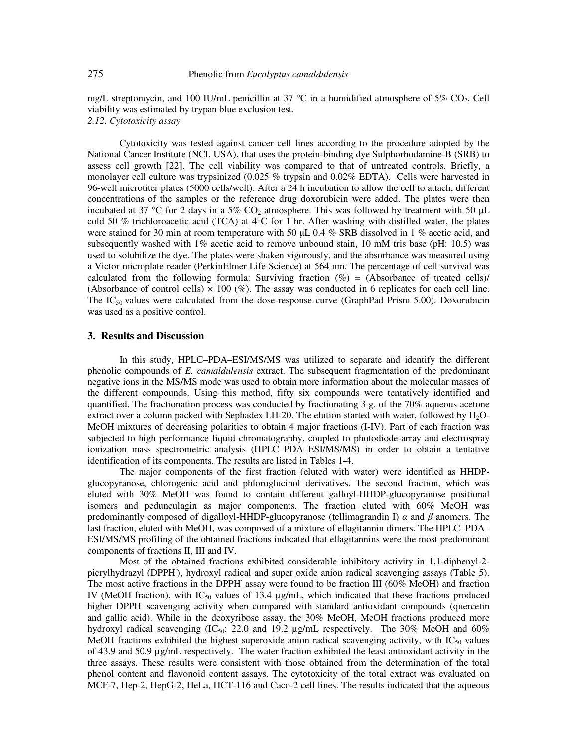mg/L streptomycin, and 100 IU/mL penicillin at 37  $^{\circ}$ C in a humidified atmosphere of 5% CO<sub>2</sub>. Cell viability was estimated by trypan blue exclusion test. *2.12. Cytotoxicity assay* 

Cytotoxicity was tested against cancer cell lines according to the procedure adopted by the National Cancer Institute (NCI, USA), that uses the protein-binding dye Sulphorhodamine-B (SRB) to assess cell growth [22]. The cell viability was compared to that of untreated controls. Briefly, a monolayer cell culture was trypsinized (0.025 % trypsin and 0.02% EDTA). Cells were harvested in 96-well microtiter plates (5000 cells/well). After a 24 h incubation to allow the cell to attach, different concentrations of the samples or the reference drug doxorubicin were added. The plates were then incubated at 37 °C for 2 days in a 5%  $CO_2$  atmosphere. This was followed by treatment with 50 µL cold 50 % trichloroacetic acid (TCA) at 4°C for 1 hr. After washing with distilled water, the plates were stained for 30 min at room temperature with 50  $\mu$ L 0.4 % SRB dissolved in 1 % acetic acid, and subsequently washed with 1% acetic acid to remove unbound stain, 10 mM tris base (pH: 10.5) was used to solubilize the dye. The plates were shaken vigorously, and the absorbance was measured using a Victor microplate reader (PerkinElmer Life Science) at 564 nm. The percentage of cell survival was calculated from the following formula: Surviving fraction  $(\%)$  = (Absorbance of treated cells)/ (Absorbance of control cells)  $\times$  100 (%). The assay was conducted in 6 replicates for each cell line. The IC<sub>50</sub> values were calculated from the dose-response curve (GraphPad Prism 5.00). Doxorubicin was used as a positive control.

### **3. Results and Discussion**

In this study, HPLC–PDA–ESI/MS/MS was utilized to separate and identify the different phenolic compounds of *E. camaldulensis* extract. The subsequent fragmentation of the predominant negative ions in the MS/MS mode was used to obtain more information about the molecular masses of the different compounds. Using this method, fifty six compounds were tentatively identified and quantified. The fractionation process was conducted by fractionating 3 g. of the 70% aqueous acetone extract over a column packed with Sephadex LH-20. The elution started with water, followed by  $H_2O$ -MeOH mixtures of decreasing polarities to obtain 4 major fractions (I-IV). Part of each fraction was subjected to high performance liquid chromatography, coupled to photodiode-array and electrospray ionization mass spectrometric analysis (HPLC–PDA–ESI/MS/MS) in order to obtain a tentative identification of its components. The results are listed in Tables 1-4.

The major components of the first fraction (eluted with water) were identified as HHDPglucopyranose, chlorogenic acid and phloroglucinol derivatives. The second fraction, which was eluted with 30% MeOH was found to contain different galloyl-HHDP-glucopyranose positional isomers and pedunculagin as major components. The fraction eluted with 60% MeOH was predominantly composed of digalloyl-HHDP-glucopyranose (tellimagrandin I)  $\alpha$  and  $\beta$  anomers. The last fraction, eluted with MeOH, was composed of a mixture of ellagitannin dimers. The HPLC–PDA– ESI/MS/MS profiling of the obtained fractions indicated that ellagitannins were the most predominant components of fractions II, III and IV.

Most of the obtained fractions exhibited considerable inhibitory activity in 1,1-diphenyl-2 picrylhydrazyl (DPPH), hydroxyl radical and super oxide anion radical scavenging assays (Table 5). The most active fractions in the DPPH assay were found to be fraction III (60% MeOH) and fraction IV (MeOH fraction), with  $IC_{50}$  values of 13.4  $\mu$ g/mL, which indicated that these fractions produced higher DPPH scavenging activity when compared with standard antioxidant compounds (quercetin and gallic acid). While in the deoxyribose assay, the 30% MeOH, MeOH fractions produced more hydroxyl radical scavenging  $(IC_{50}$ : 22.0 and 19.2  $\mu$ g/mL respectively. The 30% MeOH and 60% MeOH fractions exhibited the highest superoxide anion radical scavenging activity, with  $IC_{50}$  values of 43.9 and 50.9 µg/mL respectively. The water fraction exhibited the least antioxidant activity in the three assays. These results were consistent with those obtained from the determination of the total phenol content and flavonoid content assays. The cytotoxicity of the total extract was evaluated on MCF-7, Hep-2, HepG-2, HeLa, HCT-116 and Caco-2 cell lines. The results indicated that the aqueous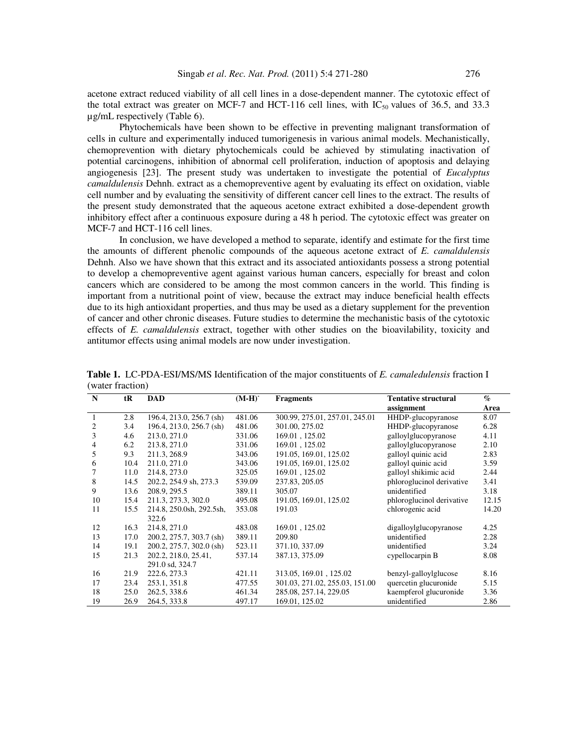acetone extract reduced viability of all cell lines in a dose-dependent manner. The cytotoxic effect of the total extract was greater on MCF-7 and HCT-116 cell lines, with  $IC_{50}$  values of 36.5, and 33.3 µg/mL respectively (Table 6).

Phytochemicals have been shown to be effective in preventing malignant transformation of cells in culture and experimentally induced tumorigenesis in various animal models. Mechanistically, chemoprevention with dietary phytochemicals could be achieved by stimulating inactivation of potential carcinogens, inhibition of abnormal cell proliferation, induction of apoptosis and delaying angiogenesis [23]. The present study was undertaken to investigate the potential of *Eucalyptus camaldulensis* Dehnh. extract as a chemopreventive agent by evaluating its effect on oxidation, viable cell number and by evaluating the sensitivity of different cancer cell lines to the extract. The results of the present study demonstrated that the aqueous acetone extract exhibited a dose-dependent growth inhibitory effect after a continuous exposure during a 48 h period. The cytotoxic effect was greater on MCF-7 and HCT-116 cell lines.

In conclusion, we have developed a method to separate, identify and estimate for the first time the amounts of different phenolic compounds of the aqueous acetone extract of *E. camaldulensis* Dehnh. Also we have shown that this extract and its associated antioxidants possess a strong potential to develop a chemopreventive agent against various human cancers, especially for breast and colon cancers which are considered to be among the most common cancers in the world. This finding is important from a nutritional point of view, because the extract may induce beneficial health effects due to its high antioxidant properties, and thus may be used as a dietary supplement for the prevention of cancer and other chronic diseases. Future studies to determine the mechanistic basis of the cytotoxic effects of *E. camaldulensis* extract, together with other studies on the bioavilability, toxicity and antitumor effects using animal models are now under investigation.

| N  | tR   | <b>DAD</b>               | $(M-H)^{-}$ | <b>Fragments</b>               | <b>Tentative structural</b> | $\mathcal{O}_{\mathcal{O}}$ |
|----|------|--------------------------|-------------|--------------------------------|-----------------------------|-----------------------------|
|    |      |                          |             |                                | assignment                  | Area                        |
|    | 2.8  | 196.4, 213.0, 256.7 (sh) | 481.06      | 300.99, 275.01, 257.01, 245.01 | HHDP-glucopyranose          | 8.07                        |
| 2  | 3.4  | 196.4, 213.0, 256.7 (sh) | 481.06      | 301.00, 275.02                 | HHDP-glucopyranose          | 6.28                        |
| 3  | 4.6  | 213.0, 271.0             | 331.06      | 169.01, 125.02                 | galloylglucopyranose        | 4.11                        |
| 4  | 6.2  | 213.8, 271.0             | 331.06      | 169.01, 125.02                 | galloylglucopyranose        | 2.10                        |
| 5  | 9.3  | 211.3, 268.9             | 343.06      | 191.05, 169.01, 125.02         | galloyl quinic acid         | 2.83                        |
| 6  | 10.4 | 211.0, 271.0             | 343.06      | 191.05, 169.01, 125.02         | galloyl quinic acid         | 3.59                        |
|    | 11.0 | 214.8, 273.0             | 325.05      | 169.01, 125.02                 | galloyl shikimic acid       | 2.44                        |
| 8  | 14.5 | 202.2, 254.9 sh, 273.3   | 539.09      | 237.83, 205.05                 | phloroglucinol derivative   | 3.41                        |
| 9  | 13.6 | 208.9, 295.5             | 389.11      | 305.07                         | unidentified                | 3.18                        |
| 10 | 15.4 | 211.3, 273.3, 302.0      | 495.08      | 191.05, 169.01, 125.02         | phloroglucinol derivative   | 12.15                       |
| 11 | 15.5 | 214.8, 250.0sh, 292.5sh, | 353.08      | 191.03                         | chlorogenic acid            | 14.20                       |
|    |      | 322.6                    |             |                                |                             |                             |
| 12 | 16.3 | 214.8, 271.0             | 483.08      | 169.01, 125.02                 | digalloylglucopyranose      | 4.25                        |
| 13 | 17.0 | 200.2, 275.7, 303.7 (sh) | 389.11      | 209.80                         | unidentified                | 2.28                        |
| 14 | 19.1 | 200.2, 275.7, 302.0 (sh) | 523.11      | 371.10, 337.09                 | unidentified                | 3.24                        |
| 15 | 21.3 | 202.2, 218.0, 25.41,     | 537.14      | 387.13, 375.09                 | cypellocarpin B             | 8.08                        |
|    |      | 291.0 sd, 324.7          |             |                                |                             |                             |
| 16 | 21.9 | 222.6, 273.3             | 421.11      | 313.05, 169.01, 125.02         | benzyl-galloylglucose       | 8.16                        |
| 17 | 23.4 | 253.1, 351.8             | 477.55      | 301.03, 271.02, 255.03, 151.00 | quercetin glucuronide       | 5.15                        |
| 18 | 25.0 | 262.5, 338.6             | 461.34      | 285.08, 257.14, 229.05         | kaempferol glucuronide      | 3.36                        |
| 19 | 26.9 | 264.5, 333.8             | 497.17      | 169.01, 125.02                 | unidentified                | 2.86                        |

 **Table 1.** LC-PDA-ESI/MS/MS Identification of the major constituents of *E. camaledulensis* fraction I (water fraction)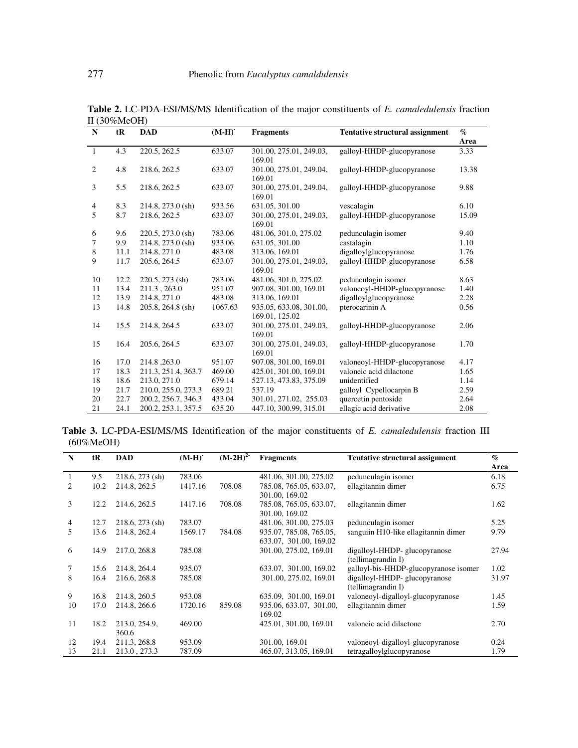| $\mathbf N$    | tR   | <b>DAD</b>          | $(M-H)^{-}$ | <b>Fragments</b>                            | <b>Tentative structural assignment</b> | $\mathcal{O}_0$<br>Area |
|----------------|------|---------------------|-------------|---------------------------------------------|----------------------------------------|-------------------------|
| $\overline{1}$ | 4.3  | 220.5, 262.5        | 633.07      | 301.00, 275.01, 249.03,                     | galloyl-HHDP-glucopyranose             | 3.33                    |
| 2              | 4.8  | 218.6, 262.5        | 633.07      | 169.01<br>301.00, 275.01, 249.04,<br>169.01 | galloyl-HHDP-glucopyranose             | 13.38                   |
| 3              | 5.5  | 218.6, 262.5        | 633.07      | 301.00, 275.01, 249.04,<br>169.01           | galloyl-HHDP-glucopyranose             | 9.88                    |
| $\overline{4}$ | 8.3  | 214.8, 273.0 (sh)   | 933.56      | 631.05, 301.00                              | vescalagin                             | 6.10                    |
| 5              | 8.7  | 218.6, 262.5        | 633.07      | 301.00, 275.01, 249.03,<br>169.01           | galloyl-HHDP-glucopyranose             | 15.09                   |
| 6              | 9.6  | $220.5, 273.0$ (sh) | 783.06      | 481.06, 301.0, 275.02                       | pedunculagin isomer                    | 9.40                    |
| 7              | 9.9  | 214.8, 273.0 (sh)   | 933.06      | 631.05, 301.00                              | castalagin                             | 1.10                    |
| 8              | 11.1 | 214.8, 271.0        | 483.08      | 313.06, 169.01                              | digalloylglucopyranose                 | 1.76                    |
| 9              | 11.7 | 205.6, 264.5        | 633.07      | 301.00, 275.01, 249.03,<br>169.01           | galloyl-HHDP-glucopyranose             | 6.58                    |
| 10             | 12.2 | 220.5, 273 (sh)     | 783.06      | 481.06, 301.0, 275.02                       | pedunculagin isomer                    | 8.63                    |
| 11             | 13.4 | 211.3, 263.0        | 951.07      | 907.08, 301.00, 169.01                      | valoneoyl-HHDP-glucopyranose           | 1.40                    |
| 12             | 13.9 | 214.8, 271.0        | 483.08      | 313.06, 169.01                              | digalloylglucopyranose                 | 2.28                    |
| 13             | 14.8 | 205.8, 264.8 (sh)   | 1067.63     | 935.05, 633.08, 301.00,<br>169.01, 125.02   | pterocarinin A                         | 0.56                    |
| 14             | 15.5 | 214.8, 264.5        | 633.07      | 301.00, 275.01, 249.03,<br>169.01           | galloyl-HHDP-glucopyranose             | 2.06                    |
| 15             | 16.4 | 205.6, 264.5        | 633.07      | 301.00, 275.01, 249.03,<br>169.01           | galloyl-HHDP-glucopyranose             | 1.70                    |
| 16             | 17.0 | 214.8, 263.0        | 951.07      | 907.08, 301.00, 169.01                      | valoneoyl-HHDP-glucopyranose           | 4.17                    |
| 17             | 18.3 | 211.3, 251.4, 363.7 | 469.00      | 425.01, 301.00, 169.01                      | valoneic acid dilactone                | 1.65                    |
| 18             | 18.6 | 213.0, 271.0        | 679.14      | 527.13, 473.83, 375.09                      | unidentified                           | 1.14                    |
| 19             | 21.7 | 210.0, 255.0, 273.3 | 689.21      | 537.19                                      | galloyl Cypellocarpin B                | 2.59                    |
| 20             | 22.7 | 200.2, 256.7, 346.3 | 433.04      | 301.01, 271.02, 255.03                      | quercetin pentoside                    | 2.64                    |
| 21             | 24.1 | 200.2, 253.1, 357.5 | 635.20      | 447.10, 300.99, 315.01                      | ellagic acid derivative                | 2.08                    |

**Table 2.** LC-PDA-ESI/MS/MS Identification of the major constituents of *E. camaledulensis* fraction II (30%MeOH)  $\overline{\phantom{a}}$ 

**Table 3.** LC-PDA-ESI/MS/MS Identification of the major constituents of *E. camaledulensis* fraction III (60%MeOH)

| N  | tR   | <b>DAD</b>        | $(M-H)$ | $(M-2H)^{2}$ | <b>Tentative structural assignment</b><br><b>Fragments</b> |                                       | $\%$  |
|----|------|-------------------|---------|--------------|------------------------------------------------------------|---------------------------------------|-------|
|    |      |                   |         |              |                                                            |                                       | Area  |
|    | 9.5  | $218.6, 273$ (sh) | 783.06  |              | 481.06, 301.00, 275.02                                     | pedunculagin isomer                   | 6.18  |
| 2  | 10.2 | 214.8, 262.5      | 1417.16 | 708.08       | 785.08, 765.05, 633.07,                                    | ellagitannin dimer                    | 6.75  |
|    |      |                   |         |              | 301.00, 169.02                                             |                                       |       |
| 3  | 12.2 | 214.6, 262.5      | 1417.16 | 708.08       | 785.08, 765.05, 633.07,                                    | ellagitannin dimer                    | 1.62  |
|    |      |                   |         |              | 301.00, 169.02                                             |                                       |       |
| 4  | 12.7 | 218.6, 273 (sh)   | 783.07  |              | 481.06, 301.00, 275.03                                     | pedunculagin isomer                   | 5.25  |
| 5. | 13.6 | 214.8, 262.4      | 1569.17 | 784.08       | 935.07, 785.08, 765.05,                                    | sanguiin H10-like ellagitannin dimer  | 9.79  |
|    |      |                   |         |              | 633.07, 301.00, 169.02                                     |                                       |       |
| 6  | 14.9 | 217.0, 268.8      | 785.08  |              | 301.00, 275.02, 169.01                                     | digalloyl-HHDP- glucopyranose         | 27.94 |
|    |      |                   |         |              |                                                            | (tellimagrandin I)                    |       |
| 7  | 15.6 | 214.8, 264.4      | 935.07  |              | 633.07, 301.00, 169.02                                     | galloyl-bis-HHDP-glucopyranose isomer | 1.02  |
| 8  | 16.4 | 216.6, 268.8      | 785.08  |              | 301.00, 275.02, 169.01                                     | digalloyl-HHDP- glucopyranose         | 31.97 |
|    |      |                   |         |              |                                                            | (tellimagrandin I)                    |       |
| 9  | 16.8 | 214.8, 260.5      | 953.08  |              | 635.09, 301.00, 169.01                                     | valone oyl-digalloyl-glucopyranose    | 1.45  |
| 10 | 17.0 | 214.8, 266.6      | 1720.16 | 859.08       | 935.06, 633.07, 301.00,                                    | ellagitannin dimer                    | 1.59  |
|    |      |                   |         |              | 169.02                                                     |                                       |       |
| 11 | 18.2 | 213.0, 254.9,     | 469.00  |              | 425.01, 301.00, 169.01                                     | valoneic acid dilactone               | 2.70  |
|    |      | 360.6             |         |              |                                                            |                                       |       |
| 12 | 19.4 | 211.3, 268.8      | 953.09  |              | 301.00, 169.01                                             | valoneoyl-digalloyl-glucopyranose     | 0.24  |
| 13 | 21.1 | 213.0, 273.3      | 787.09  |              | 465.07, 313.05, 169.01                                     | tetragalloylglucopyranose             | 1.79  |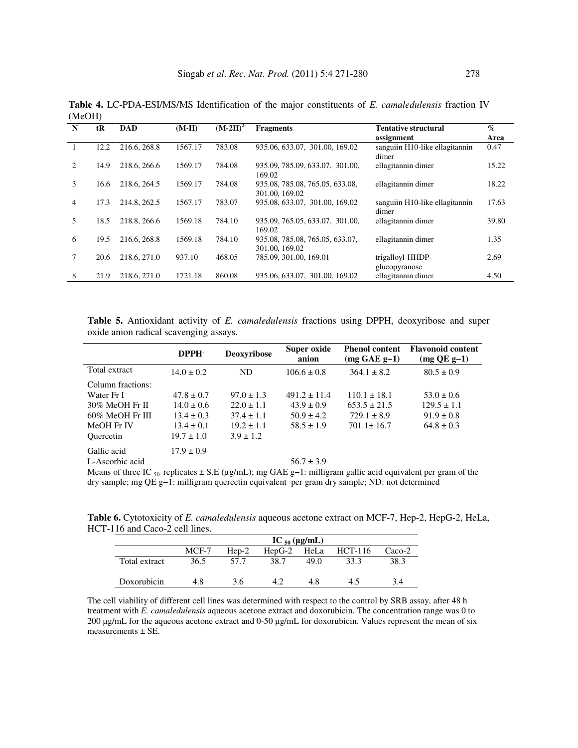| N                             | tR   | <b>DAD</b>   | $(M-H)$ | $(M-2H)2$ | <b>Fragments</b>                                  | <b>Tentative structural</b><br>assignment | $\mathcal{O}_0$<br>Area |
|-------------------------------|------|--------------|---------|-----------|---------------------------------------------------|-------------------------------------------|-------------------------|
|                               | 12.2 | 216.6, 268.8 | 1567.17 | 783.08    | 935.06, 633.07, 301.00, 169.02                    | sanguiin H10-like ellagitannin<br>dimer   | 0.47                    |
| $\mathfrak{D}_{\mathfrak{p}}$ | 14.9 | 218.6, 266.6 | 1569.17 | 784.08    | 935.09, 785.09, 633.07, 301.00,<br>169.02         | ellagitannin dimer                        | 15.22                   |
| 3                             | 16.6 | 218.6, 264.5 | 1569.17 | 784.08    | 935.08, 785.08, 765.05, 633.08,<br>301.00, 169.02 | ellagitannin dimer                        | 18.22                   |
| 4                             | 17.3 | 214.8, 262.5 | 1567.17 | 783.07    | 935.08, 633.07, 301.00, 169.02                    | sanguiin H10-like ellagitannin<br>dimer   | 17.63                   |
| 5                             | 18.5 | 218.8, 266.6 | 1569.18 | 784.10    | 935.09, 765.05, 633.07, 301.00,<br>169.02         | ellagitannin dimer                        | 39.80                   |
| 6                             | 19.5 | 216.6, 268.8 | 1569.18 | 784.10    | 935.08, 785.08, 765.05, 633.07,<br>301.00, 169.02 | ellagitannin dimer                        | 1.35                    |
|                               | 20.6 | 218.6, 271.0 | 937.10  | 468.05    | 785.09, 301.00, 169.01                            | trigalloyl-HHDP-<br>glucopyranose         | 2.69                    |
| 8                             | 21.9 | 218.6, 271.0 | 1721.18 | 860.08    | 935.06, 633.07, 301.00, 169.02                    | ellagitannin dimer                        | 4.50                    |

**Table 4.** LC-PDA-ESI/MS/MS Identification of the major constituents of *E. camaledulensis* fraction IV (MeOH)

**Table 5.** Antioxidant activity of *E. camaledulensis* fractions using DPPH, deoxyribose and super oxide anion radical scavenging assays.

|                    | DPPH <sup>.</sup> | <b>Deoxyribose</b> | Super oxide<br>anion | <b>Phenol content</b><br>$(mg GAE g-1)$ | <b>Flavonoid content</b><br>$(mg$ QE g-1) |
|--------------------|-------------------|--------------------|----------------------|-----------------------------------------|-------------------------------------------|
| Total extract      | $14.0 \pm 0.2$    | ND                 | $106.6 \pm 0.8$      | $364.1 \pm 8.2$                         | $80.5 \pm 0.9$                            |
| Column fractions:  |                   |                    |                      |                                         |                                           |
| Water Fr I         | $47.8 \pm 0.7$    | $97.0 + 1.3$       | $491.2 + 11.4$       | $110.1 + 18.1$                          | $53.0 \pm 0.6$                            |
| 30% MeOH Fr II     | $14.0 \pm 0.6$    | $22.0 \pm 1.1$     | $43.9 + 0.9$         | $653.5 + 21.5$                          | $129.5 \pm 1.1$                           |
| $60\%$ MeOH Fr III | $13.4 \pm 0.3$    | $37.4 \pm 1.1$     | $50.9 \pm 4.2$       | $729.1 \pm 8.9$                         | $91.9 \pm 0.8$                            |
| MeOH Fr IV         | $13.4 \pm 0.1$    | $19.2 + 1.1$       | $58.5 \pm 1.9$       | $701.1 \pm 16.7$                        | $64.8 \pm 0.3$                            |
| <b>Ouercetin</b>   | $19.7 \pm 1.0$    | $3.9 \pm 1.2$      |                      |                                         |                                           |
| Gallic acid        | $17.9 \pm 0.9$    |                    |                      |                                         |                                           |
| L-Ascorbic acid    |                   |                    | $56.7 \pm 3.9$       |                                         |                                           |

Means of three IC  $_{50}$  replicates  $\pm$  S.E (µg/mL); mg GAE g-1: milligram gallic acid equivalent per gram of the dry sample; mg QE g−1: milligram quercetin equivalent per gram dry sample; ND: not determined

**Table 6.** Cytotoxicity of *E. camaledulensis* aqueous acetone extract on MCF-7, Hep-2, HepG-2, HeLa, HCT-116 and Caco-2 cell lines.

|                                                 | IC $_{50}$ (µg/mL) |      |      |      |      |          |  |
|-------------------------------------------------|--------------------|------|------|------|------|----------|--|
| MCF-7<br>HCT-116<br>$Hep-2$<br>HeLa<br>$HepG-2$ |                    |      |      |      |      | $Caco-2$ |  |
| Total extract                                   | 36.5               | 57.7 | 38.7 | 49.0 | 33.3 | 38.3     |  |
| Doxorubicin                                     | 4.8                | 3.6  |      | 4.8  | 45   | 3.4      |  |

The cell viability of different cell lines was determined with respect to the control by SRB assay, after 48 h treatment with *E. camaledulensis* aqueous acetone extract and doxorubicin. The concentration range was 0 to 200 µg/mL for the aqueous acetone extract and 0-50 µg/mL for doxorubicin. Values represent the mean of six measurements ± SE.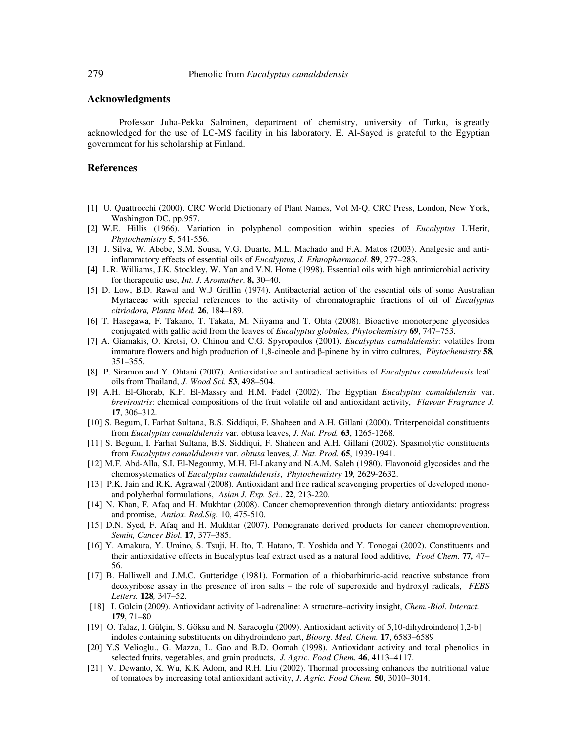### **Acknowledgments**

Professor Juha-Pekka Salminen, department of chemistry, university of Turku, is greatly acknowledged for the use of LC-MS facility in his laboratory. E. Al-Sayed is grateful to the Egyptian government for his scholarship at Finland.

### **References**

- [1] U. Quattrocchi (2000). CRC World Dictionary of Plant Names, Vol M-Q. CRC Press, London, New York, Washington DC, pp.957.
- [2] W.E. Hillis (1966). Variation in polyphenol composition within species of *Eucalyptus* L'Herit, *Phytochemistry* **5**, 541-556.
- [3] J. Silva, W. Abebe, S.M. Sousa, V.G. Duarte, M.L. Machado and F.A. Matos (2003). Analgesic and antiinflammatory effects of essential oils of *Eucalyptus, J. Ethnopharmacol.* **89**, 277–283.
- [4] L.R. Williams, J.K. Stockley, W. Yan and V.N. Home (1998). Essential oils with high antimicrobial activity for therapeutic use, *Int. J. Aromather*. **8,** 30–40.
- [5] D. Low, B.D. Rawal and W.J Griffin (1974). Antibacterial action of the essential oils of some Australian Myrtaceae with special references to the activity of chromatographic fractions of oil of *Eucalyptus citriodora, Planta Med.* **26**, 184–189.
- [6] T. Hasegawa, F. Takano, T. Takata, M. Niiyama and T. Ohta (2008). Bioactive monoterpene glycosides conjugated with gallic acid from the leaves of *Eucalyptus globules, Phytochemistry* **69**, 747–753.
- [7] A. Giamakis, O. Kretsi, O. Chinou and C.G. Spyropoulos (2001). *Eucalyptus camaldulensis*: volatiles from immature flowers and high production of 1,8-cineole and β-pinene by in vitro cultures, *Phytochemistry* **58***,* 351–355.
- [8] P. Siramon and Y. Ohtani (2007). Antioxidative and antiradical activities of *Eucalyptus camaldulensis* leaf oils from Thailand, *J. Wood Sci.* **53**, 498–504.
- [9] A.H. El-Ghorab, K.F. El-Massry and H.M. Fadel (2002). The Egyptian *Eucalyptus camaldulensis* var. *brevirostris*: chemical compositions of the fruit volatile oil and antioxidant activity, *Flavour Fragrance J.*  **17**, 306–312.
- [10] S. Begum, I. Farhat Sultana, B.S. Siddiqui, F. Shaheen and A.H. Gillani (2000). Triterpenoidal constituents from *Eucalyptus camaldulensis* var. obtusa leaves, *J. Nat. Prod.* **63**, 1265-1268.
- [11] S. Begum, I. Farhat Sultana, B.S. Siddiqui, F. Shaheen and A.H. Gillani (2002). Spasmolytic constituents from *Eucalyptus camaldulensis* var. *obtusa* leaves, *J. Nat. Prod.* **65**, 1939-1941.
- [12] M.F. Abd-Alla, S.I. El-Negoumy, M.H. El-Lakany and N.A.M. Saleh (1980). Flavonoid glycosides and the chemosystematics of *Eucalyptus camaldulensis*, *Phytochemistry* **19***,* 2629-2632.
- [13] P.K. Jain and R.K. Agrawal (2008). Antioxidant and free radical scavenging properties of developed monoand polyherbal formulations, *Asian J. Exp. Sci..* **22***,* 213-220.
- [14] N. Khan, F. Afaq and H. Mukhtar (2008). Cancer chemoprevention through dietary antioxidants: progress and promise, *Antiox. Red.Sig.* 10, 475-510.
- [15] D.N. Syed, F. Afaq and H. Mukhtar (2007). Pomegranate derived products for cancer chemoprevention. *Semin, Cancer Biol.* **17**, 377–385.
- [16] Y. Amakura, Y. Umino, S. Tsuji, H. Ito, T. Hatano, T. Yoshida and Y. Tonogai (2002). Constituents and their antioxidative effects in Eucalyptus leaf extract used as a natural food additive, *Food Chem.* **77***,* 47– 56.
- [17] B. Halliwell and J.M.C. Gutteridge (1981). Formation of a thiobarbituric-acid reactive substance from deoxyribose assay in the presence of iron salts – the role of superoxide and hydroxyl radicals, *FEBS Letters.* **128***,* 347–52.
- [18] I. Gülcin (2009). Antioxidant activity of l-adrenaline: A structure–activity insight, *Chem.-Biol. Interact.* **179**, 71–80
- [19] O. Talaz, I. Gülçin, S. Göksu and N. Saracoglu (2009). Antioxidant activity of 5,10-dihydroindeno[1,2-b] indoles containing substituents on dihydroindeno part, *Bioorg. Med. Chem.* **17**, 6583–6589
- [20] Y.S Velioglu., G. Mazza, L. Gao and B.D. Oomah (1998). Antioxidant activity and total phenolics in selected fruits, vegetables, and grain products, *J. Agric. Food Chem.* **46**, 4113–4117.
- [21] V. Dewanto, X. Wu, K.K Adom, and R.H. Liu (2002). Thermal processing enhances the nutritional value of tomatoes by increasing total antioxidant activity, *J. Agric. Food Chem.* **50**, 3010–3014.